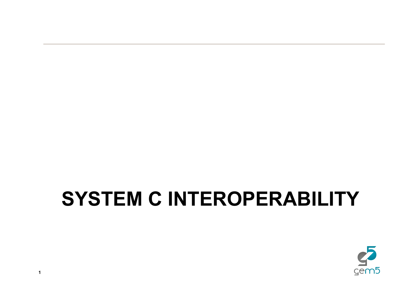# **SYSTEM C INTEROPERABILITY**

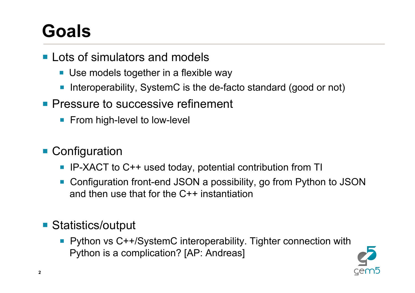## **Goals**

- Lots of simulators and models
	- Use models together in a flexible way
	- Interoperability, SystemC is the de-facto standard (good or not)
- **Pressure to successive refinement** 
	- From high-level to low-level

### ■ Configuration

- IP-XACT to C++ used today, potential contribution from TI
- § Configuration front-end JSON a possibility, go from Python to JSON and then use that for the C++ instantiation

#### ■ Statistics/output

§ Python vs C++/SystemC interoperability. Tighter connection with Python is a complication? [AP: Andreas]

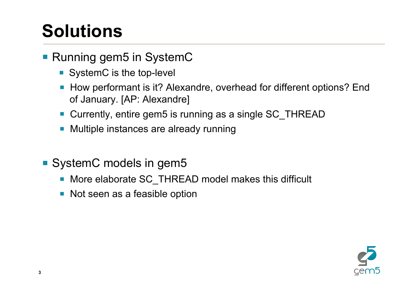# **Solutions**

#### ■ Running gem5 in SystemC

- SystemC is the top-level
- How performant is it? Alexandre, overhead for different options? End of January. [AP: Alexandre]
- Currently, entire gem5 is running as a single SC\_THREAD
- Multiple instances are already running
- SystemC models in gem5
	- More elaborate SC\_THREAD model makes this difficult
	- Not seen as a feasible option

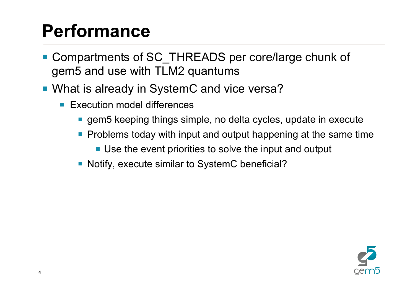### **Performance**

- Compartments of SC\_THREADS per core/large chunk of gem5 and use with TLM2 quantums
- What is already in SystemC and vice versa?
	- Execution model differences
		- gem5 keeping things simple, no delta cycles, update in execute
		- Problems today with input and output happening at the same time
			- Use the event priorities to solve the input and output
		- Notify, execute similar to SystemC beneficial?

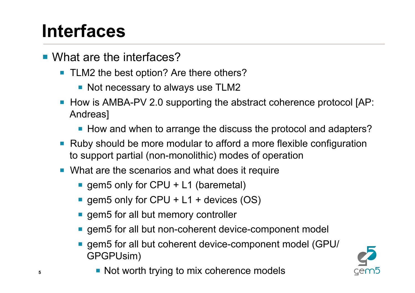## **Interfaces**

- What are the interfaces?
	- TLM2 the best option? Are there others?
		- Not necessary to always use TLM2
	- How is AMBA-PV 2.0 supporting the abstract coherence protocol [AP: Andreas]
		- How and when to arrange the discuss the protocol and adapters?
	- Ruby should be more modular to afford a more flexible configuration to support partial (non-monolithic) modes of operation
	- What are the scenarios and what does it require
		- gem5 only for CPU + L1 (baremetal)
		- gem5 only for CPU + L1 + devices (OS)
		- gem5 for all but memory controller
		- gem5 for all but non-coherent device-component model
		- gem5 for all but coherent device-component model (GPU/ GPGPUsim)



■ Not worth trying to mix coherence models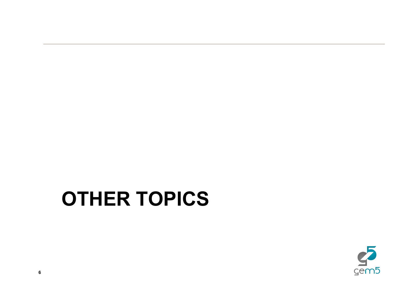## **OTHER TOPICS**

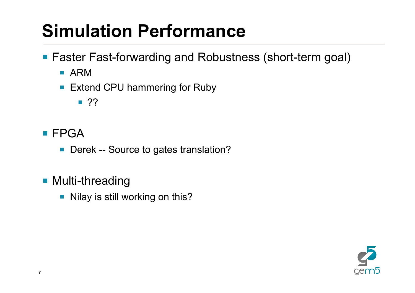# **Simulation Performance**

■ Faster Fast-forwarding and Robustness (short-term goal)

- § ARM
- Extend CPU hammering for Ruby

 $\blacksquare$  ??

- FPGA
	- Derek -- Source to gates translation?
- Multi-threading
	- Nilay is still working on this?

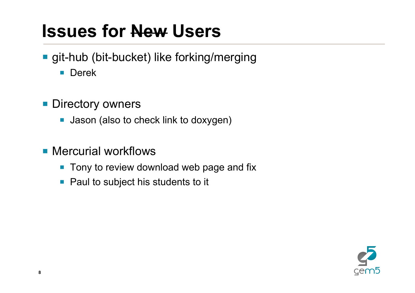### **Issues for New Users**

- git-hub (bit-bucket) like forking/merging
	- Derek
- **Directory owners** 
	- Jason (also to check link to doxygen)
- Mercurial workflows
	- Tony to review download web page and fix
	- Paul to subject his students to it